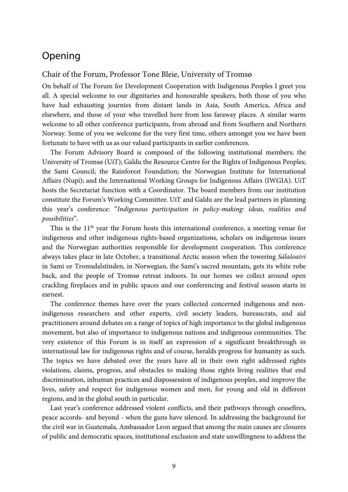## Opening

## Chair of the Forum, Professor Tone Bleie, University of Tromsø

On behalf of The Forum for Development Cooperation with Indigenous Peoples I greet you all. A special welcome to our dignitaries and honourable speakers, both those of you who have had exhausting journies from distant lands in Asia, South America, Africa and elsewhere, and those of your who travelled here from less faraway places. A similar warm welcome to all other conference participants, from abroad and from Southern and Northern Norway. Some of you we welcome for the very first time, others amongst you we have been fortunate to have with us as our valued participants in earlier conferences.

The Forum Advisory Board is composed of the following institutional members; the University of Tromsø (UiT); Galdu the Resource Centre for the Rights of Indigenous Peoples; the Sami Council; the Rainforest Foundation; the Norwegian Institute for International Affairs (Nupi); and the International Working Groups for Indigenous Affairs (IWGIA). UiT hosts the Secretariat function with a Coordinator. The board members from our institution constitute the Forum's Working Committee. UiT and Galdu are the lead partners in planning this year's conference: "*Indigenous participation in policy-making: ideas, realities and possibilities*".

This is the 11<sup>th</sup> year the Forum hosts this international conference, a meeting venue for indigenous and other indigenous rights-based organizations, scholars on indigenous issues and the Norwegian authorities responsible for development cooperation. This conference always takes place in late October, a transitional Arctic season when the towering *Sálašoaivi* in Sami or Tromsdalstinden, in Norwegian, the Sami's sacred mountain, gets its white robe back, and the people of Tromsø retreat indoors. In our homes we collect around open crackling fireplaces and in public spaces and our conferencing and festival season starts in earnest.

The conference themes have over the years collected concerned indigenous and nonindigenous researchers and other experts, civil society leaders, bureaucrats, and aid practitioners around debates on a range of topics of high importance to the global indigenous movement, but also of importance to indigenous nations and indigenous communities. The very existence of this Forum is in itself an expression of a significant breakthrough in international law for indigenous rights and of course, heralds progress for humanity as such. The topics we have debated over the years have all in their own right addressed rights violations, claims, progress, and obstacles to making those rights living realities that end discrimination, inhuman practices and dispossession of indigenous peoples, and improve the lives, safety and respect for indigenous women and men, for young and old in different regions, and in the global south in particular.

Last year's conference addressed violent conflicts, and their pathways through ceasefires, peace accords- and beyond - when the guns have silenced. In addressing the background for the civil war in Guatemala, Ambassador Leon argued that among the main causes are closures of public and democratic spaces, institutional exclusion and state unwillingness to address the